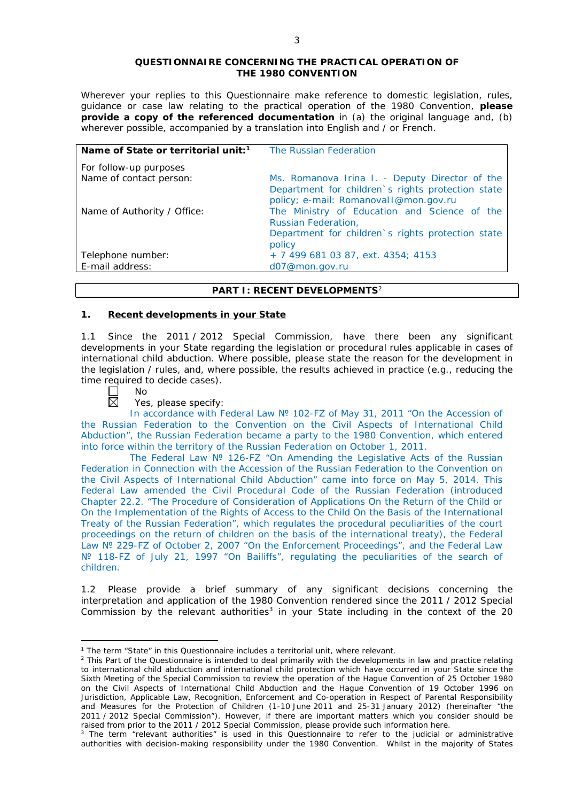#### **QUESTIONNAIRE CONCERNING THE PRACTICAL OPERATION OF THE 1980 CONVENTION**

*Wherever your replies to this Questionnaire make reference to domestic legislation, rules, guidance or case law relating to the practical operation of the 1980 Convention, please provide a copy of the referenced documentation in (a) the original language and, (b) wherever possible, accompanied by a translation into English and / or French.* 

| Name of State or territorial unit: <sup>1</sup>   | The Russian Federation                                                                                                                       |
|---------------------------------------------------|----------------------------------------------------------------------------------------------------------------------------------------------|
| For follow-up purposes<br>Name of contact person: | Ms. Romanova Irina I. - Deputy Director of the<br>Department for children's rights protection state<br>policy; e-mail: Romanovall@mon.gov.ru |
| Name of Authority / Office:                       | The Ministry of Education and Science of the<br>Russian Federation,<br>Department for children's rights protection state<br>policy           |
| Telephone number:                                 | + 7 499 681 03 87, ext. 4354; 4153                                                                                                           |
| E-mail address:                                   | d07@mon.gov.ru                                                                                                                               |

## **PART I: RECENT DEVELOPMENTS**<sup>2</sup>

## **1. Recent developments in your State**

1.1 Since the 2011 / 2012 Special Commission, have there been any significant developments in your State regarding the legislation or procedural rules applicable in cases of international child abduction. Where possible, please state the reason for the development in the legislation / rules, and, where possible, the results achieved in practice (*e.g.*, reducing the time required to decide cases).<br> $\Box$  No<br> $\boxtimes$  Yes, please specify:

No

<u>.</u>

Yes, please specify:

In accordance with Federal Law № 102-FZ of May 31, 2011 "On the Accession of the Russian Federation to the Convention on the Civil Aspects of International Child Abduction", the Russian Federation became a party to the 1980 Convention, which entered into force within the territory of the Russian Federation on October 1, 2011.

The Federal Law № 126-FZ "On Amending the Legislative Acts of the Russian Federation in Connection with the Accession of the Russian Federation to the Convention on the Civil Aspects of International Child Abduction" came into force on May 5, 2014. This Federal Law amended the Civil Procedural Code of the Russian Federation (introduced Chapter 22.2. "The Procedure of Consideration of Applications On the Return of the Child or On the Implementation of the Rights of Access to the Child On the Basis of the International Treaty of the Russian Federation", which regulates the procedural peculiarities of the court proceedings on the return of children on the basis of the international treaty), the Federal Law Nº 229-FZ of October 2, 2007 "On the Enforcement Proceedings", and the Federal Law Nº 118-FZ of July 21, 1997 "On Bailiffs", regulating the peculiarities of the search of children.

1.2 Please provide a brief summary of any significant decisions concerning the interpretation and application of the 1980 Convention rendered since the 2011 / 2012 Special Commission by the relevant authorities<sup>3</sup> in your State including in the context of the 20

<sup>&</sup>lt;sup>1</sup> The term "State" in this Questionnaire includes a territorial unit, where relevant.

<sup>&</sup>lt;sup>2</sup> This Part of the Questionnaire is intended to deal primarily with the developments in law and practice relating to international child abduction and international child protection which have occurred in your State since the Sixth Meeting of the Special Commission to review the operation of the *Hague Convention of 25 October 1980 on the Civil Aspects of International Child Abduction* and the *Hague Convention of 19 October 1996 on Jurisdiction, Applicable Law, Recognition, Enforcement and Co-operation in Respect of Parental Responsibility and Measures for the Protection of Children* (1-10 June 2011 and 25-31 January 2012) (hereinafter "the 2011 / 2012 Special Commission"). However, if there are important matters which you consider should be raised from *prior to* the 2011 / 2012 Special Commission, please provide such information here.

<sup>&</sup>lt;sup>3</sup> The term "relevant authorities" is used in this Questionnaire to refer to the judicial or administrative authorities with decision-making responsibility under the 1980 Convention. Whilst in the majority of States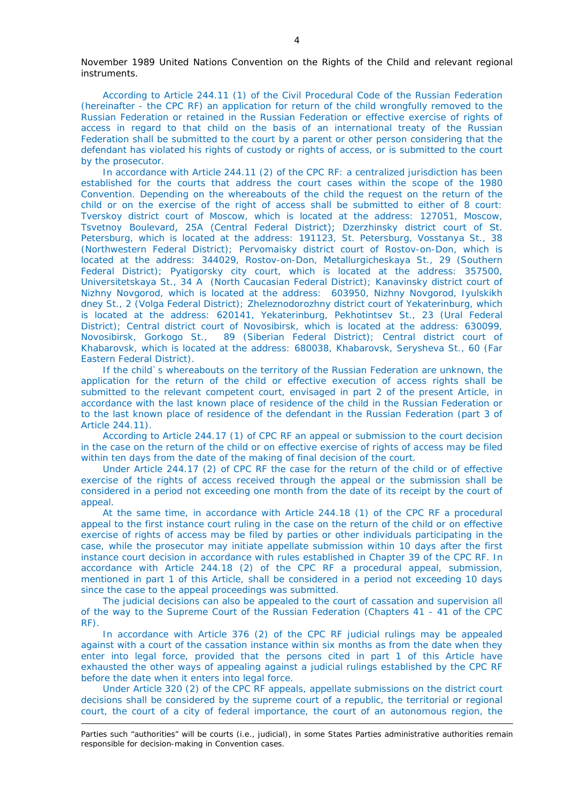November 1989 United Nations Convention on the Rights of the Child and relevant regional instruments.

According to Article 244.11 (1) of the Civil Procedural Code of the Russian Federation (hereinafter - the CPC RF) an application for return of the child wrongfully removed to the Russian Federation or retained in the Russian Federation or effective exercise of rights of access in regard to that child on the basis of an international treaty of the Russian Federation shall be submitted to the court by a parent or other person considering that the defendant has violated his rights of custody or rights of access, or is submitted to the court by the prosecutor.

In accordance with Article 244.11 (2) of the CPC RF: a centralized jurisdiction has been established for the courts that address the court cases within the scope of the 1980 Convention. Depending on the whereabouts of the child the request on the return of the child or on the exercise of the right of access shall be submitted to either of 8 court: Tverskoy district court of Moscow, which is located at the address: 127051, Moscow, Tsvetnoy Boulevard, 25А (Central Federal District); Dzerzhinsky district court of St. Petersburg, which is located at the address: 191123, St. Petersburg, Vosstanya St., 38 (Northwestern Federal District); Pervomaisky district court of Rostov-on-Don, which is located at the address: 344029, Rostov-on-Don, Metallurgicheskaya St., 29 (Southern Federal District); Pyatigorsky city court, which is located at the address: 357500, Universitetskaya St., 34 A (North Caucasian Federal District); Kanavinsky district court of Nizhny Novgorod, which is located at the address: 603950, Nizhny Novgorod, Iyulskikh dney St., 2 (Volga Federal District); Zheleznodorozhny district court of Yekaterinburg, which is located at the address: 620141, Yekaterinburg, Pekhotintsev St., 23 (Ural Federal District); Central district court of Novosibirsk, which is located at the address: 630099, Novosibirsk, Gorkogo St., 89 (Siberian Federal District); Central district court of Khabarovsk, which is located at the address: 680038, Khabarovsk, Serysheva St., 60 (Far Eastern Federal District).

If the child`s whereabouts on the territory of the Russian Federation are unknown, the application for the return of the child or effective execution of access rights shall be submitted to the relevant competent court, envisaged in part 2 of the present Article, in accordance with the last known place of residence of the child in the Russian Federation or to the last known place of residence of the defendant in the Russian Federation (part 3 of Article 244.11).

According to Article 244.17 (1) of CPC RF an appeal or submission to the court decision in the case on the return of the child or on effective exercise of rights of access may be filed within ten days from the date of the making of final decision of the court.

Under Article 244.17 (2) of CPC RF the case for the return of the child or of effective exercise of the rights of access received through the appeal or the submission shall be considered in a period not exceeding one month from the date of its receipt by the court of appeal.

At the same time, in accordance with Article 244.18 (1) of the CPC RF a procedural appeal to the first instance court ruling in the case on the return of the child or on effective exercise of rights of access may be filed by parties or other individuals participating in the case, while the prosecutor may initiate appellate submission within 10 days after the first instance court decision in accordance with rules established in Chapter 39 of the CPC RF. In accordance with Article 244.18 (2) of the CPC RF a procedural appeal, submission, mentioned in part 1 of this Article, shall be considered in a period not exceeding 10 days since the case to the appeal proceedings was submitted.

The judicial decisions can also be appealed to the court of cassation and supervision all of the way to the Supreme Court of the Russian Federation (Chapters 41 - 41 of the CPC RF).

In accordance with Article 376 (2) of the CPC RF judicial rulings may be appealed against with a court of the cassation instance within six months as from the date when they enter into legal force, provided that the persons cited in part 1 of this Article have exhausted the other ways of appealing against a judicial rulings established by the CPC RF before the date when it enters into legal force.

Under Article 320 (2) of the CPC RF appeals, appellate submissions on the district court decisions shall be considered by the supreme court of a republic, the territorial or regional court, the court of a city of federal importance, the court of an autonomous region, the

-

Parties such "authorities" will be courts (*i.e.*, judicial), in some States Parties administrative authorities remain responsible for decision-making in Convention cases.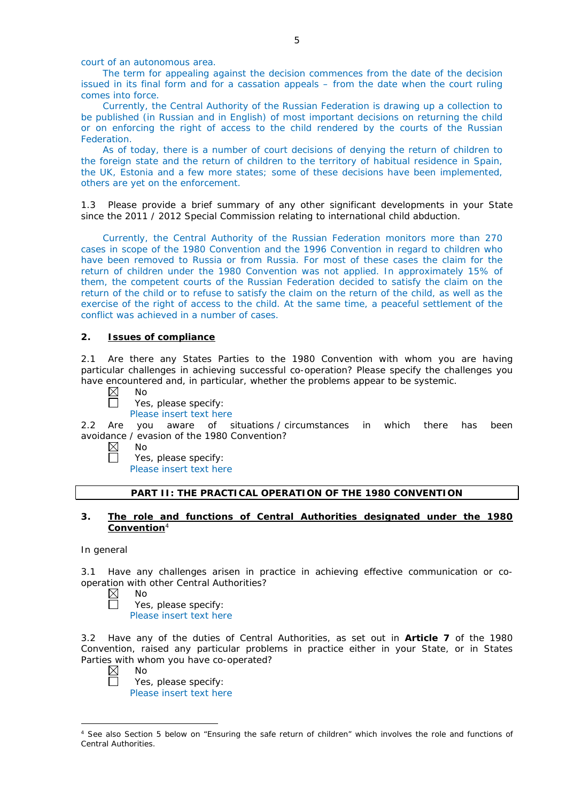court of an autonomous area.

The term for appealing against the decision commences from the date of the decision issued in its final form and for a cassation appeals – from the date when the court ruling comes into force.

Currently, the Central Authority of the Russian Federation is drawing up a collection to be published (in Russian and in English) of most important decisions on returning the child or on enforcing the right of access to the child rendered by the courts of the Russian Federation.

As of today, there is a number of court decisions of denying the return of children to the foreign state and the return of children to the territory of habitual residence in Spain, the UK, Estonia and a few more states; some of these decisions have been implemented, others are yet on the enforcement.

1.3 Please provide a brief summary of any other significant developments in your State since the 2011 / 2012 Special Commission relating to international child abduction.

Currently, the Central Authority of the Russian Federation monitors more than 270 cases in scope of the 1980 Convention and the 1996 Convention in regard to children who have been removed to Russia or from Russia. For most of these cases the claim for the return of children under the 1980 Convention was not applied. In approximately 15% of them, the competent courts of the Russian Federation decided to satisfy the claim on the return of the child or to refuse to satisfy the claim on the return of the child, as well as the exercise of the right of access to the child. At the same time, a peaceful settlement of the conflict was achieved in a number of cases.

# **2. Issues of compliance**

2.1 Are there any States Parties to the 1980 Convention with whom you are having particular challenges in achieving successful co-operation? Please specify the challenges you have encountered and, in particular, whether the problems appear to be systemic.<br>  $\boxtimes$  No

No Yes, please specify:

Please insert text here

2.2 Are you aware of situations / circumstances in which there has been avoidance / evasion of the 1980 Convention?

 $\boxtimes$ No  $\Box$ 

Yes, please specify: Please insert text here

# **PART II: THE PRACTICAL OPERATION OF THE 1980 CONVENTION**

# **3. The role and functions of Central Authorities designated under the 1980 Convention**<sup>4</sup>

#### *In general*

3.1 Have any challenges arisen in practice in achieving effective communication or cooperation with other Central Authorities?

- $\boxtimes$ No  $\Box$ 
	- Yes, please specify: Please insert text here

3.2 Have any of the duties of Central Authorities, as set out in **Article 7** of the 1980 Convention, raised any particular problems in practice either in your State, or in States Parties with whom you have co-operated?

 $\boxtimes$ No

Yes, please specify: Please insert text here

<sup>-</sup><sup>4</sup> See also Section 5 below on "Ensuring the safe return of children" which involves the role and functions of Central Authorities.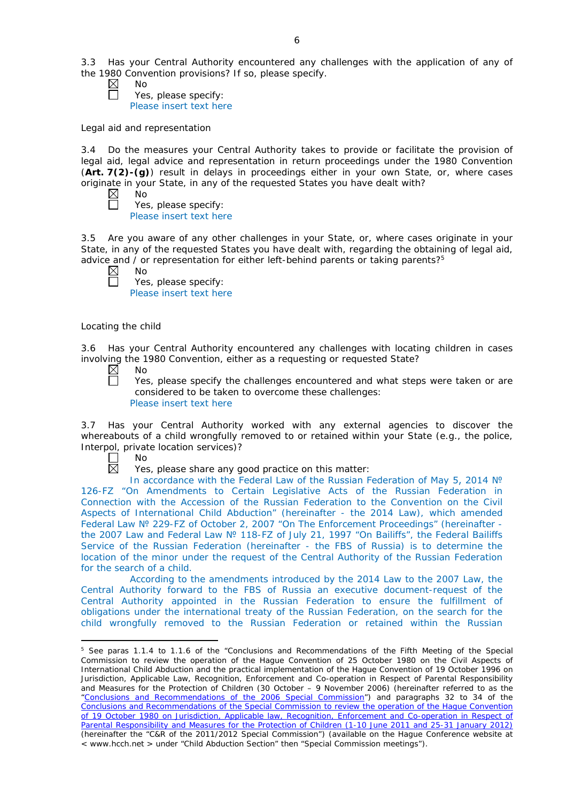- No
	- Yes, please specify: Please insert text here

## *Legal aid and representation*

3.4 Do the measures your Central Authority takes to provide or facilitate the provision of legal aid, legal advice and representation in return proceedings under the 1980 Convention (**Art. 7(2)-(g)**) result in delays in proceedings either in your own State, or, where cases originate in your State, in any of the requested States you have dealt with?

| M<br>O |
|--------|
|        |

Yes, please specify: Please insert text here

3.5 Are you aware of any other challenges in your State, or, where cases originate in your State, in any of the requested States you have dealt with, regarding the obtaining of legal aid, advice and / or representation for either left-behind parents or taking parents? $5$ 

 $\boxtimes$ No

 $\Box$ 

Yes, please specify: Please insert text here

# *Locating the child*

3.6 Has your Central Authority encountered any challenges with locating children in cases involving the 1980 Convention, either as a requesting or requested State?<br>  $\boxtimes$  No<br>
Yes, please specify the challenges encountered and what step

No

Yes, please specify the challenges encountered and what steps were taken or are considered to be taken to overcome these challenges: Please insert text here

3.7 Has your Central Authority worked with any external agencies to discover the whereabouts of a child wrongfully removed to or retained within your State (*e.g.*, the police, Interpol, private location services)?

Г No  $\boxtimes$ 

<u>.</u>

Yes, please share any good practice on this matter:

In accordance with the Federal Law of the Russian Federation of May 5, 2014 № 126-FZ "On Amendments to Certain Legislative Acts of the Russian Federation in Connection with the Accession of the Russian Federation to the Convention on the Civil Aspects of International Child Abduction" (hereinafter - the 2014 Law), which amended Federal Law № 229-FZ of October 2, 2007 "On The Enforcement Proceedings" (hereinafter the 2007 Law and Federal Law Nº 118-FZ of July 21, 1997 "On Bailiffs", the Federal Bailiffs Service of the Russian Federation (hereinafter - the FBS of Russia) is to determine the location of the minor under the request of the Central Authority of the Russian Federation for the search of a child.

According to the amendments introduced by the 2014 Law to the 2007 Law, the Central Authority forward to the FBS of Russia an executive document-request of the Central Authority appointed in the Russian Federation to ensure the fulfillment of obligations under the international treaty of the Russian Federation, on the search for the child wrongfully removed to the Russian Federation or retained within the Russian

<sup>&</sup>lt;sup>5</sup> See paras 1.1.4 to 1.1.6 of the "Conclusions and Recommendations of the Fifth Meeting of the Special Commission to review the operation of the *Hague Convention of 25 October 1980 on the Civil Aspects of International Child Abduction* and the practical implementation of the *Hague Convention of 19 October 1996 on Jurisdiction, Applicable Law, Recognition, Enforcement and Co-operation in Respect of Parental Responsibility and Measures for the Protection of Children* (30 October – 9 November 2006) (hereinafter referred to as the ["Conclusions and Recommendations of the 2006 Special Commission"](https://assets.hcch.net/upload/concl28sc5_e.pdf)) and paragraphs 32 to 34 of the [Conclusions and Recommendations of the Special Commission](https://assets.hcch.net/upload/wop/concl28sc6_e.pdf) to review the operation of the Hague Convention of *[19 October 1980 on Jurisdiction, Applicable law, Recognition, Enforcement and Co-operation in Respect of](https://assets.hcch.net/upload/wop/concl28sc6_e.pdf)  [Parental Responsibility and Measures for the Protection of Children](https://assets.hcch.net/upload/wop/concl28sc6_e.pdf)* (1-10 June 2011 and 25-31 January 2012) (hereinafter the "C&R of the 2011/2012 Special Commission") (available on the Hague Conference website at < www.hcch.net > under "Child Abduction Section" then "Special Commission meetings").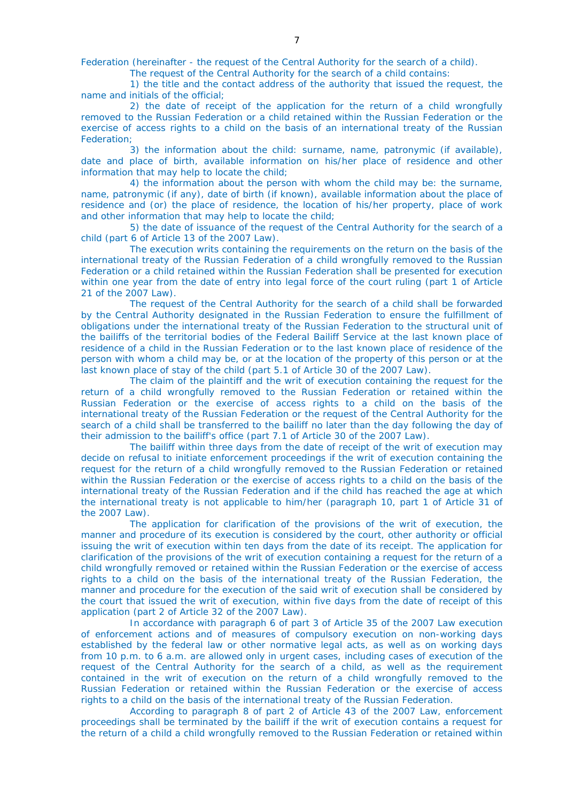Federation (hereinafter - the request of the Central Authority for the search of a child).

The request of the Central Authority for the search of a child contains:

1) the title and the contact address of the authority that issued the request, the name and initials of the official;

2) the date of receipt of the application for the return of a child wrongfully removed to the Russian Federation or a child retained within the Russian Federation or the exercise of access rights to a child on the basis of an international treaty of the Russian Federation;

3) the information about the child: surname, name, patronymic (if available), date and place of birth, available information on his/her place of residence and other information that may help to locate the child;

4) the information about the person with whom the child may be: the surname, name, patronymic (if any), date of birth (if known), available information about the place of residence and (or) the place of residence, the location of his/her property, place of work and other information that may help to locate the child;

5) the date of issuance of the request of the Central Authority for the search of a child (part 6 of Article 13 of the 2007 Law).

The execution writs containing the requirements on the return on the basis of the international treaty of the Russian Federation of a child wrongfully removed to the Russian Federation or a child retained within the Russian Federation shall be presented for execution within one year from the date of entry into legal force of the court ruling (part 1 of Article 21 of the 2007 Law).

The request of the Central Authority for the search of a child shall be forwarded by the Central Authority designated in the Russian Federation to ensure the fulfillment of obligations under the international treaty of the Russian Federation to the structural unit of the bailiffs of the territorial bodies of the Federal Bailiff Service at the last known place of residence of a child in the Russian Federation or to the last known place of residence of the person with whom a child may be, or at the location of the property of this person or at the last known place of stay of the child (part 5.1 of Article 30 of the 2007 Law).

The claim of the plaintiff and the writ of execution containing the request for the return of a child wrongfully removed to the Russian Federation or retained within the Russian Federation or the exercise of access rights to a child on the basis of the international treaty of the Russian Federation or the request of the Central Authority for the search of a child shall be transferred to the bailiff no later than the day following the day of their admission to the bailiff's office (part 7.1 of Article 30 of the 2007 Law).

The bailiff within three days from the date of receipt of the writ of execution may decide on refusal to initiate enforcement proceedings if the writ of execution containing the request for the return of a child wrongfully removed to the Russian Federation or retained within the Russian Federation or the exercise of access rights to a child on the basis of the international treaty of the Russian Federation and if the child has reached the age at which the international treaty is not applicable to him/her (paragraph 10, part 1 of Article 31 of the 2007 Law).

The application for clarification of the provisions of the writ of execution, the manner and procedure of its execution is considered by the court, other authority or official issuing the writ of execution within ten days from the date of its receipt. The application for clarification of the provisions of the writ of execution containing a request for the return of a child wrongfully removed or retained within the Russian Federation or the exercise of access rights to a child on the basis of the international treaty of the Russian Federation, the manner and procedure for the execution of the said writ of execution shall be considered by the court that issued the writ of execution, within five days from the date of receipt of this application (part 2 of Article 32 of the 2007 Law).

In accordance with paragraph 6 of part 3 of Article 35 of the 2007 Law execution of enforcement actions and of measures of compulsory execution on non-working days established by the federal law or other normative legal acts, as well as on working days from 10 p.m. to 6 a.m. are allowed only in urgent cases, including cases of execution of the request of the Central Authority for the search of a child, as well as the requirement contained in the writ of execution on the return of a child wrongfully removed to the Russian Federation or retained within the Russian Federation or the exercise of access rights to a child on the basis of the international treaty of the Russian Federation.

According to paragraph 8 of part 2 of Article 43 of the 2007 Law, enforcement proceedings shall be terminated by the bailiff if the writ of execution contains a request for the return of a child a child wrongfully removed to the Russian Federation or retained within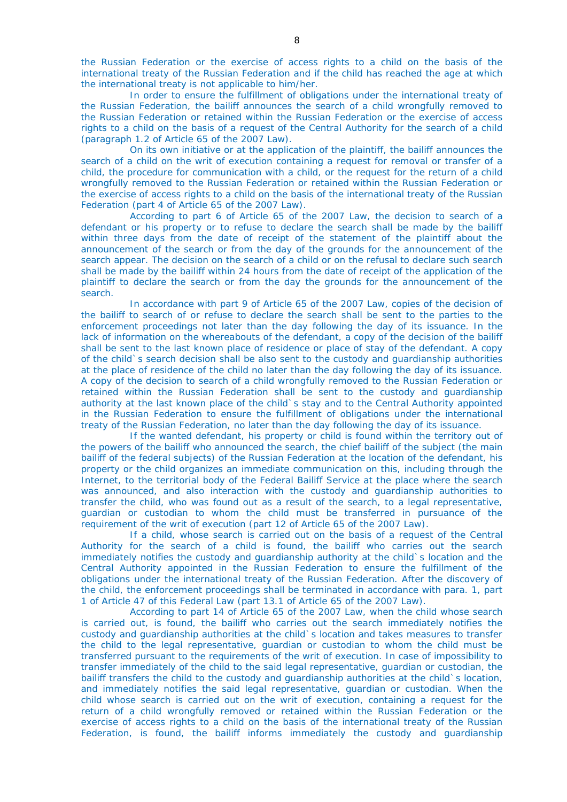the Russian Federation or the exercise of access rights to a child on the basis of the international treaty of the Russian Federation and if the child has reached the age at which the international treaty is not applicable to him/her.

In order to ensure the fulfillment of obligations under the international treaty of the Russian Federation, the bailiff announces the search of a child wrongfully removed to the Russian Federation or retained within the Russian Federation or the exercise of access rights to a child on the basis of a request of the Central Authority for the search of a child (paragraph 1.2 of Article 65 of the 2007 Law).

On its own initiative or at the application of the plaintiff, the bailiff announces the search of a child on the writ of execution containing a request for removal or transfer of a child, the procedure for communication with a child, or the request for the return of a child wrongfully removed to the Russian Federation or retained within the Russian Federation or the exercise of access rights to a child on the basis of the international treaty of the Russian Federation (part 4 of Article 65 of the 2007 Law).

According to part 6 of Article 65 of the 2007 Law, the decision to search of a defendant or his property or to refuse to declare the search shall be made by the bailiff within three days from the date of receipt of the statement of the plaintiff about the announcement of the search or from the day of the grounds for the announcement of the search appear. The decision on the search of a child or on the refusal to declare such search shall be made by the bailiff within 24 hours from the date of receipt of the application of the plaintiff to declare the search or from the day the grounds for the announcement of the search.

In accordance with part 9 of Article 65 of the 2007 Law, copies of the decision of the bailiff to search of or refuse to declare the search shall be sent to the parties to the enforcement proceedings not later than the day following the day of its issuance. In the lack of information on the whereabouts of the defendant, a copy of the decision of the bailiff shall be sent to the last known place of residence or place of stay of the defendant. A copy of the child`s search decision shall be also sent to the custody and guardianship authorities at the place of residence of the child no later than the day following the day of its issuance. A copy of the decision to search of a child wrongfully removed to the Russian Federation or retained within the Russian Federation shall be sent to the custody and guardianship authority at the last known place of the child`s stay and to the Central Authority appointed in the Russian Federation to ensure the fulfillment of obligations under the international treaty of the Russian Federation, no later than the day following the day of its issuance.

If the wanted defendant, his property or child is found within the territory out of the powers of the bailiff who announced the search, the chief bailiff of the subject (the main bailiff of the federal subjects) of the Russian Federation at the location of the defendant, his property or the child organizes an immediate communication on this, including through the Internet, to the territorial body of the Federal Bailiff Service at the place where the search was announced, and also interaction with the custody and guardianship authorities to transfer the child, who was found out as a result of the search, to a legal representative, guardian or custodian to whom the child must be transferred in pursuance of the requirement of the writ of execution (part 12 of Article 65 of the 2007 Law).

If a child, whose search is carried out on the basis of a request of the Central Authority for the search of a child is found, the bailiff who carries out the search immediately notifies the custody and guardianship authority at the child`s location and the Central Authority appointed in the Russian Federation to ensure the fulfillment of the obligations under the international treaty of the Russian Federation. After the discovery of the child, the enforcement proceedings shall be terminated in accordance with para. 1, part 1 of Article 47 of this Federal Law (part 13.1 of Article 65 of the 2007 Law).

According to part 14 of Article 65 of the 2007 Law, when the child whose search is carried out, is found, the bailiff who carries out the search immediately notifies the custody and guardianship authorities at the child`s location and takes measures to transfer the child to the legal representative, guardian or custodian to whom the child must be transferred pursuant to the requirements of the writ of execution. In case of impossibility to transfer immediately of the child to the said legal representative, guardian or custodian, the bailiff transfers the child to the custody and guardianship authorities at the child`s location, and immediately notifies the said legal representative, guardian or custodian. When the child whose search is carried out on the writ of execution, containing a request for the return of a child wrongfully removed or retained within the Russian Federation or the exercise of access rights to a child on the basis of the international treaty of the Russian Federation, is found, the bailiff informs immediately the custody and guardianship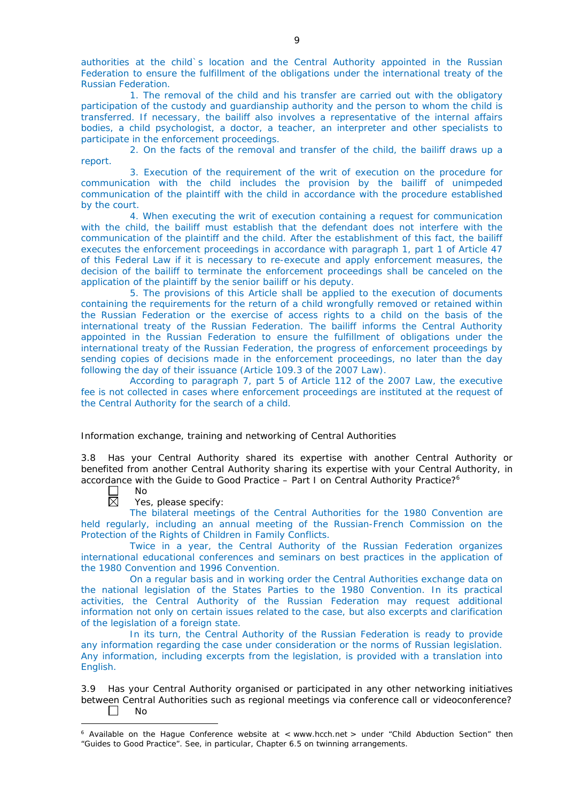authorities at the child`s location and the Central Authority appointed in the Russian Federation to ensure the fulfillment of the obligations under the international treaty of the Russian Federation.

1. The removal of the child and his transfer are carried out with the obligatory participation of the custody and guardianship authority and the person to whom the child is transferred. If necessary, the bailiff also involves a representative of the internal affairs bodies, a child psychologist, a doctor, a teacher, an interpreter and other specialists to participate in the enforcement proceedings.

2. On the facts of the removal and transfer of the child, the bailiff draws up a report.

3. Execution of the requirement of the writ of execution on the procedure for communication with the child includes the provision by the bailiff of unimpeded communication of the plaintiff with the child in accordance with the procedure established by the court.

4. When executing the writ of execution containing a request for communication with the child, the bailiff must establish that the defendant does not interfere with the communication of the plaintiff and the child. After the establishment of this fact, the bailiff executes the enforcement proceedings in accordance with paragraph 1, part 1 of Article 47 of this Federal Law if it is necessary to re-execute and apply enforcement measures, the decision of the bailiff to terminate the enforcement proceedings shall be canceled on the application of the plaintiff by the senior bailiff or his deputy.

5. The provisions of this Article shall be applied to the execution of documents containing the requirements for the return of a child wrongfully removed or retained within the Russian Federation or the exercise of access rights to a child on the basis of the international treaty of the Russian Federation. The bailiff informs the Central Authority appointed in the Russian Federation to ensure the fulfillment of obligations under the international treaty of the Russian Federation, the progress of enforcement proceedings by sending copies of decisions made in the enforcement proceedings, no later than the day following the day of their issuance (Article 109.3 of the 2007 Law).

According to paragraph 7, part 5 of Article 112 of the 2007 Law, the executive fee is not collected in cases where enforcement proceedings are instituted at the request of the Central Authority for the search of a child.

## *Information exchange, training and networking of Central Authorities*

3.8 Has your Central Authority shared its expertise with another Central Authority or benefited from another Central Authority sharing its expertise with your Central Authority, in accordance with the Guide to Good Practice – Part I on Central Authority Practice?6



Yes, please specify:

The bilateral meetings of the Central Authorities for the 1980 Convention are held regularly, including an annual meeting of the Russian-French Commission on the Protection of the Rights of Children in Family Conflicts.

Twice in a year, the Central Authority of the Russian Federation organizes international educational conferences and seminars on best practices in the application of the 1980 Convention and 1996 Convention.

On a regular basis and in working order the Central Authorities exchange data on the national legislation of the States Parties to the 1980 Convention. In its practical activities, the Central Authority of the Russian Federation may request additional information not only on certain issues related to the case, but also excerpts and clarification of the legislation of a foreign state.

In its turn, the Central Authority of the Russian Federation is ready to provide any information regarding the case under consideration or the norms of Russian legislation. Any information, including excerpts from the legislation, is provided with a translation into English.

3.9 Has your Central Authority organised or participated in any other networking initiatives between Central Authorities such as regional meetings via conference call or videoconference?  $\Box$ No

<sup>-</sup> $6$  Available on the Hague Conference website at < www.hcch.net > under "Child Abduction Section" then "Guides to Good Practice". See, in particular, Chapter 6.5 on twinning arrangements.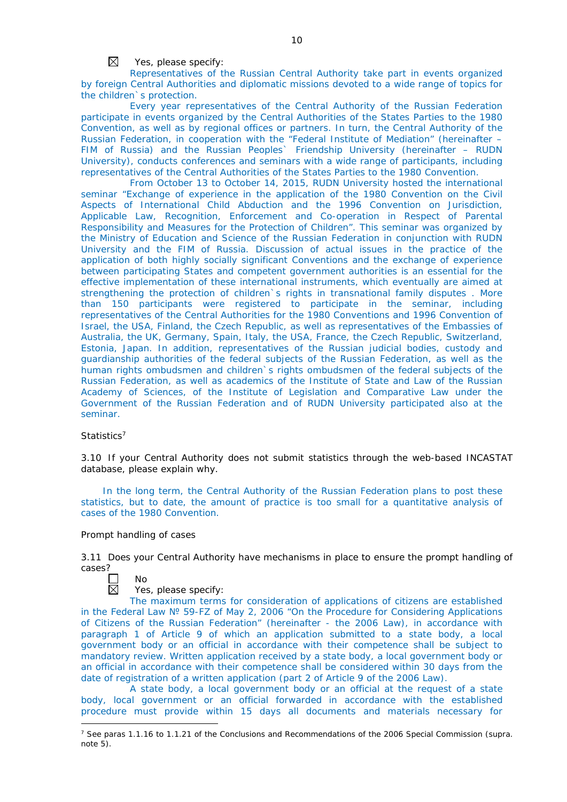$\boxtimes$ Yes, please specify:

Representatives of the Russian Central Authority take part in events organized by foreign Central Authorities and diplomatic missions devoted to a wide range of topics for the children`s protection.

Every year representatives of the Central Authority of the Russian Federation participate in events organized by the Central Authorities of the States Parties to the 1980 Convention, as well as by regional offices or partners. In turn, the Central Authority of the Russian Federation, in cooperation with the "Federal Institute of Mediation" (hereinafter – FIM of Russia) and the Russian Peoples` Friendship University (hereinafter – RUDN University), conducts conferences and seminars with a wide range of participants, including representatives of the Central Authorities of the States Parties to the 1980 Convention.

From October 13 to October 14, 2015, RUDN University hosted the international seminar "Exchange of experience in the application of the 1980 Convention on the Civil Aspects of International Child Abduction and the 1996 Convention on Jurisdiction, Applicable Law, Recognition, Enforcement and Co-operation in Respect of Parental Responsibility and Measures for the Protection of Children". This seminar was organized by the Ministry of Education and Science of the Russian Federation in conjunction with RUDN University and the FIM of Russia. Discussion of actual issues in the practice of the application of both highly socially significant Conventions and the exchange of experience between participating States and competent government authorities is an essential for the effective implementation of these international instruments, which eventually are aimed at strengthening the protection of children`s rights in transnational family disputes . More than 150 participants were registered to participate in the seminar, including representatives of the Central Authorities for the 1980 Conventions and 1996 Convention of Israel, the USA, Finland, the Czech Republic, as well as representatives of the Embassies of Australia, the UK, Germany, Spain, Italy, the USA, France, the Czech Republic, Switzerland, Estonia, Japan. In addition, representatives of the Russian judicial bodies, custody and guardianship authorities of the federal subjects of the Russian Federation, as well as the human rights ombudsmen and children`s rights ombudsmen of the federal subjects of the Russian Federation, as well as academics of the Institute of State and Law of the Russian Academy of Sciences, of the Institute of Legislation and Comparative Law under the Government of the Russian Federation and of RUDN University participated also at the seminar.

## *Statistics*<sup>7</sup>

3.10 If your Central Authority does not submit statistics through the web-based INCASTAT database, please explain why.

In the long term, the Central Authority of the Russian Federation plans to post these statistics, but to date, the amount of practice is too small for a quantitative analysis of cases of the 1980 Convention.

## *Prompt handling of cases*

No

3.11 Does your Central Authority have mechanisms in place to ensure the prompt handling of cases?



-

# Yes, please specify:

The maximum terms for consideration of applications of citizens are established in the Federal Law № 59-FZ of May 2, 2006 "On the Procedure for Considering Applications of Citizens of the Russian Federation" (hereinafter - the 2006 Law), in accordance with paragraph 1 of Article 9 of which an application submitted to a state body, a local government body or an official in accordance with their competence shall be subject to mandatory review. Written application received by a state body, a local government body or an official in accordance with their competence shall be considered within 30 days from the date of registration of a written application (part 2 of Article 9 of the 2006 Law).

A state body, a local government body or an official at the request of a state body, local government or an official forwarded in accordance with the established procedure must provide within 15 days all documents and materials necessary for

<sup>7</sup> See paras 1.1.16 to 1.1.21 of the Conclusions and Recommendations of the 2006 Special Commission (*supra.*  note 5).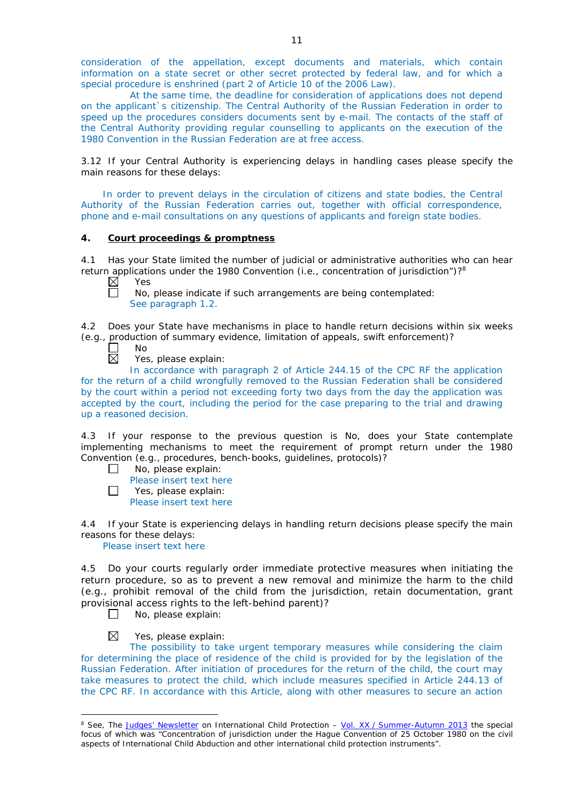consideration of the appellation, except documents and materials, which contain information on a state secret or other secret protected by federal law, and for which a special procedure is enshrined (part 2 of Article 10 of the 2006 Law).

At the same time, the deadline for consideration of applications does not depend on the applicant`s citizenship. The Central Authority of the Russian Federation in order to speed up the procedures considers documents sent by e-mail. The contacts of the staff of the Central Authority providing regular counselling to applicants on the execution of the 1980 Convention in the Russian Federation are at free access.

3.12 If your Central Authority is experiencing delays in handling cases please specify the main reasons for these delays:

In order to prevent delays in the circulation of citizens and state bodies, the Central Authority of the Russian Federation carries out, together with official correspondence, phone and e-mail consultations on any questions of applicants and foreign state bodies.

# **4. Court proceedings & promptness**

4.1 Has your State limited the number of judicial or administrative authorities who can hear return applications under the 1980 Convention (*i.e.*, concentration of jurisdiction")?<sup>8</sup><br>
N Yes

Yes n

No, please indicate if such arrangements are being contemplated: See paragraph 1.2.

4.2 Does your State have mechanisms in place to handle return decisions within six weeks (*e.g.*, production of summary evidence, limitation of appeals, swift enforcement)?<br>  $\Box$  No<br>
Yes, please explain:

No

Yes, please explain:

In accordance with paragraph 2 of Article 244.15 of the CPC RF the application for the return of a child wrongfully removed to the Russian Federation shall be considered by the court within a period not exceeding forty two days from the day the application was accepted by the court, including the period for the case preparing to the trial and drawing up a reasoned decision.

4.3 If your response to the previous question is No, does your State contemplate implementing mechanisms to meet the requirement of prompt return under the 1980 Convention (*e.g.*, procedures, bench-books, guidelines, protocols)?

- $\Box$ No, please explain:
	- Please insert text here
- $\Box$ Yes, please explain:

Please insert text here

4.4 If your State is experiencing delays in handling return decisions please specify the main reasons for these delays:

Please insert text here

4.5 Do your courts regularly order immediate protective measures when initiating the return procedure, so as to prevent a new removal and minimize the harm to the child (*e.g.*, prohibit removal of the child from the jurisdiction, retain documentation, grant provisional access rights to the left-behind parent)?

 $\Box$ No, please explain:

 $\boxtimes$ Yes, please explain:

-

The possibility to take urgent temporary measures while considering the claim for determining the place of residence of the child is provided for by the legislation of the Russian Federation. After initiation of procedures for the return of the child, the court may take measures to protect the child, which include measures specified in Article 244.13 of the CPC RF. In accordance with this Article, along with other measures to secure an action

<sup>8</sup> See, *The [Judges' Newsletter](https://www.hcch.net/en/instruments/conventions/publications2/judges-newsletter)* on International Child Protection – Vol. XX / [Summer-Autumn 2013](https://assets.hcch.net/upload/newsletter/nl2013tome20en.pdf) the special focus of which was "Concentration of jurisdiction under the *Hague Convention of 25 October 1980 on the civil aspects of International Child Abduction* and other international child protection instruments".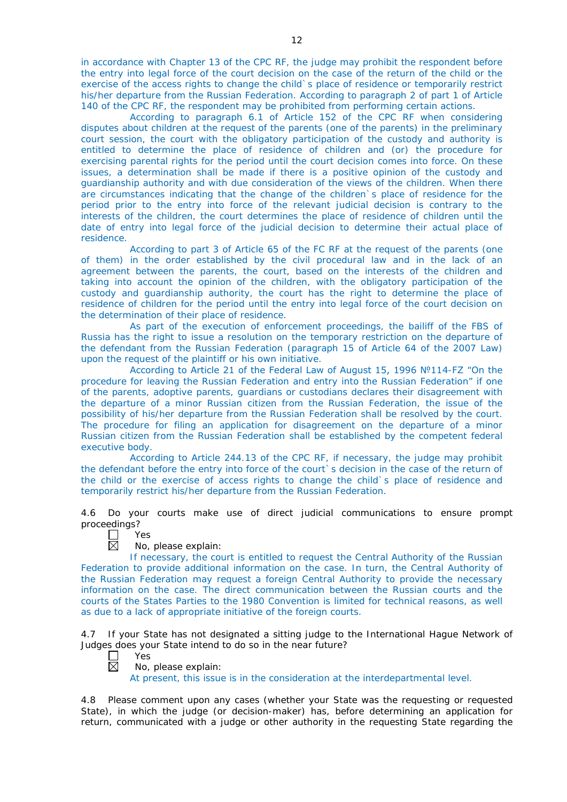in accordance with Chapter 13 of the CPC RF, the judge may prohibit the respondent before the entry into legal force of the court decision on the case of the return of the child or the exercise of the access rights to change the child`s place of residence or temporarily restrict his/her departure from the Russian Federation. According to paragraph 2 of part 1 of Article 140 of the CPC RF, the respondent may be prohibited from performing certain actions.

According to paragraph 6.1 of Article 152 of the CPC RF when considering disputes about children at the request of the parents (one of the parents) in the preliminary court session, the court with the obligatory participation of the custody and authority is entitled to determine the place of residence of children and (or) the procedure for exercising parental rights for the period until the court decision comes into force. On these issues, a determination shall be made if there is a positive opinion of the custody and guardianship authority and with due consideration of the views of the children. When there are circumstances indicating that the change of the children`s place of residence for the period prior to the entry into force of the relevant judicial decision is contrary to the interests of the children, the court determines the place of residence of children until the date of entry into legal force of the judicial decision to determine their actual place of residence.

According to part 3 of Article 65 of the FC RF at the request of the parents (one of them) in the order established by the civil procedural law and in the lack of an agreement between the parents, the court, based on the interests of the children and taking into account the opinion of the children, with the obligatory participation of the custody and guardianship authority, the court has the right to determine the place of residence of children for the period until the entry into legal force of the court decision on the determination of their place of residence.

As part of the execution of enforcement proceedings, the bailiff of the FBS of Russia has the right to issue a resolution on the temporary restriction on the departure of the defendant from the Russian Federation (paragraph 15 of Article 64 of the 2007 Law) upon the request of the plaintiff or his own initiative.

According to Article 21 of the Federal Law of August 15, 1996 №114-FZ "On the procedure for leaving the Russian Federation and entry into the Russian Federation" if one of the parents, adoptive parents, guardians or custodians declares their disagreement with the departure of a minor Russian citizen from the Russian Federation, the issue of the possibility of his/her departure from the Russian Federation shall be resolved by the court. The procedure for filing an application for disagreement on the departure of a minor Russian citizen from the Russian Federation shall be established by the competent federal executive body.

According to Article 244.13 of the CPC RF, if necessary, the judge may prohibit the defendant before the entry into force of the court`s decision in the case of the return of the child or the exercise of access rights to change the child`s place of residence and temporarily restrict his/her departure from the Russian Federation.

4.6 Do your courts make use of direct judicial communications to ensure prompt proceedings?

| ΑS  |
|-----|
| חוי |

# No, please explain:

If necessary, the court is entitled to request the Central Authority of the Russian Federation to provide additional information on the case. In turn, the Central Authority of the Russian Federation may request a foreign Central Authority to provide the necessary information on the case. The direct communication between the Russian courts and the courts of the States Parties to the 1980 Convention is limited for technical reasons, as well as due to a lack of appropriate initiative of the foreign courts.

4.7 If your State has not designated a sitting judge to the International Hague Network of Judges does your State intend to do so in the near future?

Yes

#### $\overline{\boxtimes}$ No, please explain:

At present, this issue is in the consideration at the interdepartmental level.

4.8 Please comment upon any cases (whether your State was the requesting or requested State), in which the judge (or decision-maker) has, before determining an application for return, communicated with a judge or other authority in the requesting State regarding the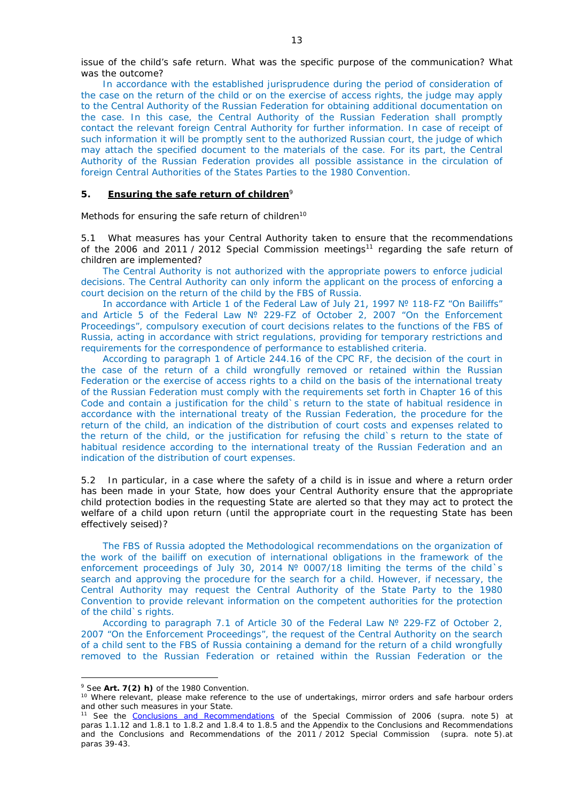issue of the child's safe return. What was the specific purpose of the communication? What was the outcome?

In accordance with the established jurisprudence during the period of consideration of the case on the return of the child or on the exercise of access rights, the judge may apply to the Central Authority of the Russian Federation for obtaining additional documentation on the case. In this case, the Central Authority of the Russian Federation shall promptly contact the relevant foreign Central Authority for further information. In case of receipt of such information it will be promptly sent to the authorized Russian court, the judge of which may attach the specified document to the materials of the case. For its part, the Central Authority of the Russian Federation provides all possible assistance in the circulation of foreign Central Authorities of the States Parties to the 1980 Convention.

#### **5. Ensuring the safe return of children**<sup>9</sup>

*Methods for ensuring the safe return of children*<sup>10</sup>

5.1 What measures has your Central Authority taken to ensure that the recommendations of the 2006 and 2011 / 2012 Special Commission meetings<sup>11</sup> regarding the safe return of children are implemented?

The Central Authority is not authorized with the appropriate powers to enforce judicial decisions. The Central Authority can only inform the applicant on the process of enforcing a court decision on the return of the child by the FBS of Russia.

In accordance with Article 1 of the Federal Law of July 21, 1997 № 118-FZ "On Bailiffs" and Article 5 of the Federal Law № 229-FZ of October 2, 2007 "On the Enforcement Proceedings", compulsory execution of court decisions relates to the functions of the FBS of Russia, acting in accordance with strict regulations, providing for temporary restrictions and requirements for the correspondence of performance to established criteria.

According to paragraph 1 of Article 244.16 of the CPC RF, the decision of the court in the case of the return of a child wrongfully removed or retained within the Russian Federation or the exercise of access rights to a child on the basis of the international treaty of the Russian Federation must comply with the requirements set forth in Chapter 16 of this Code and contain a justification for the child`s return to the state of habitual residence in accordance with the international treaty of the Russian Federation, the procedure for the return of the child, an indication of the distribution of court costs and expenses related to the return of the child, or the justification for refusing the child`s return to the state of habitual residence according to the international treaty of the Russian Federation and an indication of the distribution of court expenses.

5.2 In particular, in a case where the safety of a child is in issue and where a return order has been made in your State, how does your Central Authority ensure that the appropriate child protection bodies in the *requesting* State are alerted so that they may act to protect the welfare of a child upon return (until the appropriate court in the requesting State has been effectively seised)?

The FBS of Russia adopted the Methodological recommendations on the organization of the work of the bailiff on execution of international obligations in the framework of the enforcement proceedings of July 30, 2014 № 0007/18 limiting the terms of the child`s search and approving the procedure for the search for a child. However, if necessary, the Central Authority may request the Central Authority of the State Party to the 1980 Convention to provide relevant information on the competent authorities for the protection of the child`s rights.

According to paragraph 7.1 of Article 30 of the Federal Law № 229-FZ of October 2, 2007 "On the Enforcement Proceedings", the request of the Central Authority on the search of a child sent to the FBS of Russia containing a demand for the return of a child wrongfully removed to the Russian Federation or retained within the Russian Federation or the

<u>.</u>

<sup>9</sup> See **Art. 7(2)** *h)* of the 1980 Convention.

<sup>&</sup>lt;sup>10</sup> Where relevant, please make reference to the use of undertakings, mirror orders and safe harbour orders and other such measures in your State.

<sup>11</sup> See the [Conclusions and Recommendations](https://assets.hcch.net/upload/concl28sc5_e.pdf) of the Special Commission of 2006 (*supra.* note 5) at paras 1.1.12 and 1.8.1 to 1.8.2 and 1.8.4 to 1.8.5 and the Appendix to the Conclusions and Recommendations and the [Conclusions and Recommendations of the 2011](https://assets.hcch.net/upload/wop/concl28sc6_e.pdf) / 2012 Special Commission (*supra.* note 5).at paras 39-43.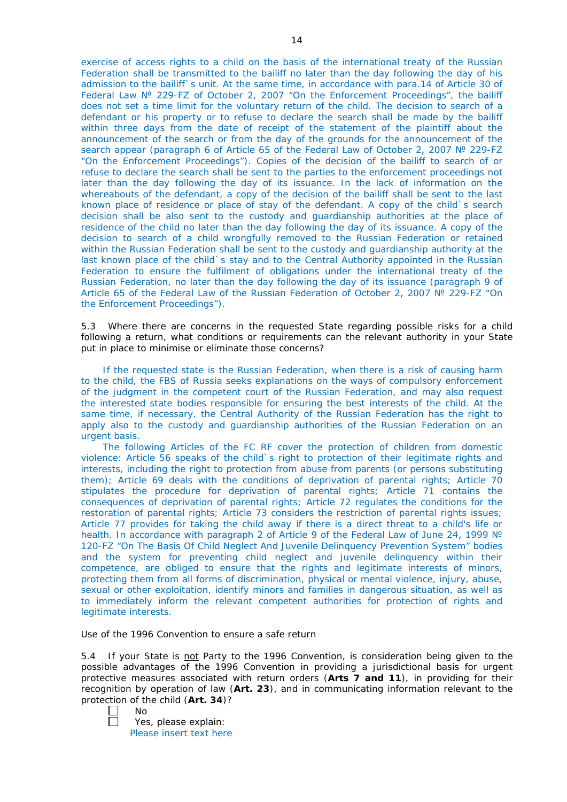exercise of access rights to a child on the basis of the international treaty of the Russian Federation shall be transmitted to the bailiff no later than the day following the day of his admission to the bailiff`s unit. At the same time, in accordance with para.14 of Article 30 of Federal Law № 229-FZ of October 2, 2007 "On the Enforcement Proceedings", the bailiff does not set a time limit for the voluntary return of the child. The decision to search of a defendant or his property or to refuse to declare the search shall be made by the bailiff within three days from the date of receipt of the statement of the plaintiff about the announcement of the search or from the day of the grounds for the announcement of the search appear (paragraph 6 of Article 65 of the Federal Law of October 2, 2007 № 229-FZ "On the Enforcement Proceedings"). Copies of the decision of the bailiff to search of or refuse to declare the search shall be sent to the parties to the enforcement proceedings not later than the day following the day of its issuance. In the lack of information on the whereabouts of the defendant, a copy of the decision of the bailiff shall be sent to the last known place of residence or place of stay of the defendant. A copy of the child`s search decision shall be also sent to the custody and guardianship authorities at the place of residence of the child no later than the day following the day of its issuance. A copy of the decision to search of a child wrongfully removed to the Russian Federation or retained within the Russian Federation shall be sent to the custody and guardianship authority at the last known place of the child's stay and to the Central Authority appointed in the Russian Federation to ensure the fulfilment of obligations under the international treaty of the Russian Federation, no later than the day following the day of its issuance (paragraph 9 of Article 65 of the Federal Law of the Russian Federation of October 2, 2007 № 229-FZ "On the Enforcement Proceedings").

5.3 Where there are concerns in the requested State regarding possible risks for a child following a return, what conditions or requirements can the relevant authority in your State put in place to minimise or eliminate those concerns?

If the requested state is the Russian Federation, when there is a risk of causing harm to the child, the FBS of Russia seeks explanations on the ways of compulsory enforcement of the judgment in the competent court of the Russian Federation, and may also request the interested state bodies responsible for ensuring the best interests of the child. At the same time, if necessary, the Central Authority of the Russian Federation has the right to apply also to the custody and guardianship authorities of the Russian Federation on an urgent basis.

The following Articles of the FC RF cover the protection of children from domestic violence: Article 56 speaks of the child`s right to protection of their legitimate rights and interests, including the right to protection from abuse from parents (or persons substituting them); Article 69 deals with the conditions of deprivation of parental rights; Article 70 stipulates the procedure for deprivation of parental rights; Article 71 contains the consequences of deprivation of parental rights; Article 72 regulates the conditions for the restoration of parental rights; Article 73 considers the restriction of parental rights issues; Article 77 provides for taking the child away if there is a direct threat to a child's life or health. In accordance with paragraph 2 of Article 9 of the Federal Law of June 24, 1999 № 120-FZ "On The Basis Of Child Neglect And Juvenile Delinquency Prevention System" bodies and the system for preventing child neglect and juvenile delinquency within their competence, are obliged to ensure that the rights and legitimate interests of minors, protecting them from all forms of discrimination, physical or mental violence, injury, abuse, sexual or other exploitation, identify minors and families in dangerous situation, as well as to immediately inform the relevant competent authorities for protection of rights and legitimate interests.

## *Use of the 1996 Convention to ensure a safe return*

5.4 If your State is not Party to the 1996 Convention, is consideration being given to the possible advantages of the 1996 Convention in providing a jurisdictional basis for urgent protective measures associated with return orders (**Arts 7 and 11**), in providing for their recognition by operation of law (**Art. 23**), and in communicating information relevant to the protection of the child (**Art. 34**)?

| u |
|---|
|   |

Yes, please explain: Please insert text here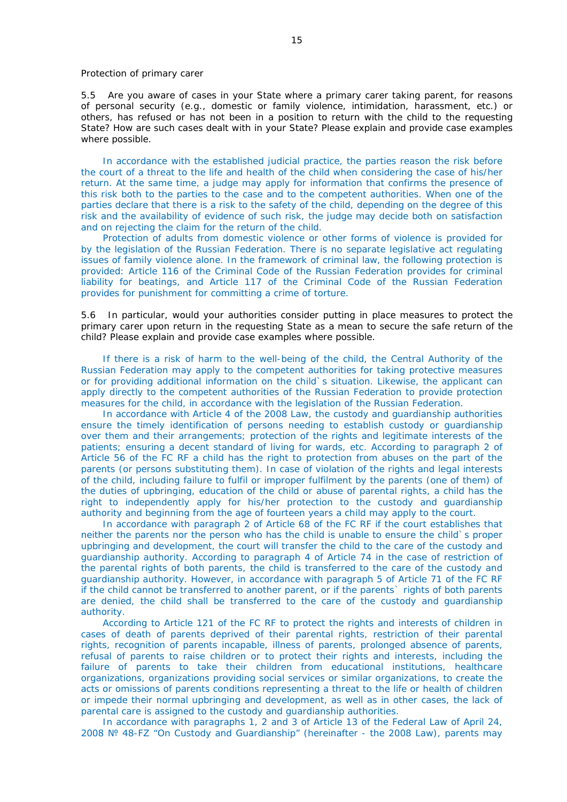#### *Protection of primary carer*

5.5 Are you aware of cases in your State where a primary carer taking parent, for reasons of personal security (*e.g.*, domestic or family violence, intimidation, harassment, etc.) or others, has refused or has not been in a position to return with the child to the requesting State? How are such cases dealt with in your State? Please explain and provide case examples where possible.

In accordance with the established judicial practice, the parties reason the risk before the court of a threat to the life and health of the child when considering the case of his/her return. At the same time, a judge may apply for information that confirms the presence of this risk both to the parties to the case and to the competent authorities. When one of the parties declare that there is a risk to the safety of the child, depending on the degree of this risk and the availability of evidence of such risk, the judge may decide both on satisfaction and on rejecting the claim for the return of the child.

Protection of adults from domestic violence or other forms of violence is provided for by the legislation of the Russian Federation. There is no separate legislative act regulating issues of family violence alone. In the framework of criminal law, the following protection is provided: Article 116 of the Criminal Code of the Russian Federation provides for criminal liability for beatings, and Article 117 of the Criminal Code of the Russian Federation provides for punishment for committing a crime of torture.

5.6 In particular, would your authorities consider putting in place measures to protect the primary carer upon return in the requesting State as a mean to secure the safe return of the child? Please explain and provide case examples where possible.

If there is a risk of harm to the well-being of the child, the Central Authority of the Russian Federation may apply to the competent authorities for taking protective measures or for providing additional information on the child`s situation. Likewise, the applicant can apply directly to the competent authorities of the Russian Federation to provide protection measures for the child, in accordance with the legislation of the Russian Federation.

In accordance with Article 4 of the 2008 Law, the custody and guardianship authorities ensure the timely identification of persons needing to establish custody or guardianship over them and their arrangements; protection of the rights and legitimate interests of the patients; ensuring a decent standard of living for wards, etc. According to paragraph 2 of Article 56 of the FC RF a child has the right to protection from abuses on the part of the parents (or persons substituting them). In case of violation of the rights and legal interests of the child, including failure to fulfil or improper fulfilment by the parents (one of them) of the duties of upbringing, education of the child or abuse of parental rights, a child has the right to independently apply for his/her protection to the custody and guardianship authority and beginning from the age of fourteen years a child may apply to the court.

In accordance with paragraph 2 of Article 68 of the FC RF if the court establishes that neither the parents nor the person who has the child is unable to ensure the child`s proper upbringing and development, the court will transfer the child to the care of the custody and guardianship authority. According to paragraph 4 of Article 74 in the case of restriction of the parental rights of both parents, the child is transferred to the care of the custody and guardianship authority. However, in accordance with paragraph 5 of Article 71 of the FC RF if the child cannot be transferred to another parent, or if the parents` rights of both parents are denied, the child shall be transferred to the care of the custody and guardianship authority.

According to Article 121 of the FC RF to protect the rights and interests of children in cases of death of parents deprived of their parental rights, restriction of their parental rights, recognition of parents incapable, illness of parents, prolonged absence of parents, refusal of parents to raise children or to protect their rights and interests, including the failure of parents to take their children from educational institutions, healthcare organizations, organizations providing social services or similar organizations, to create the acts or omissions of parents conditions representing a threat to the life or health of children or impede their normal upbringing and development, as well as in other cases, the lack of parental care is assigned to the custody and guardianship authorities.

In accordance with paragraphs 1, 2 and 3 of Article 13 of the Federal Law of April 24, 2008 № 48-FZ "On Custody and Guardianship" (hereinafter - the 2008 Law), parents may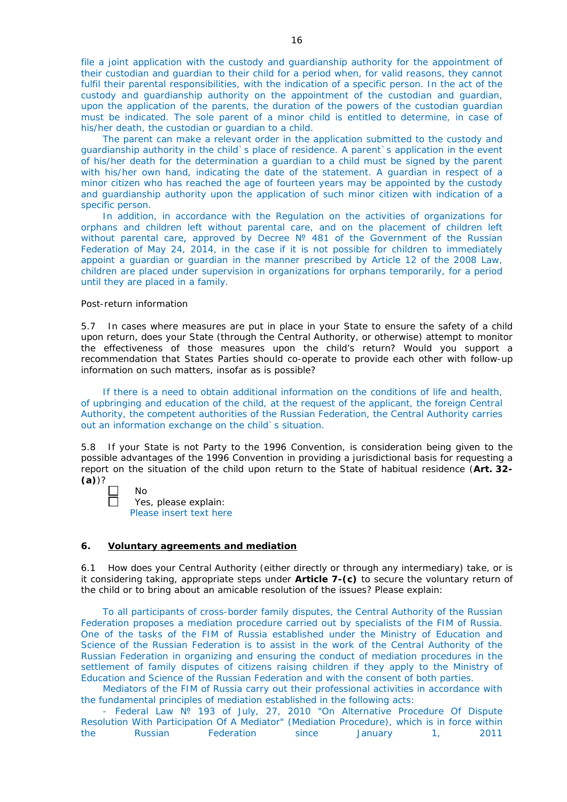file a joint application with the custody and guardianship authority for the appointment of their custodian and guardian to their child for a period when, for valid reasons, they cannot fulfil their parental responsibilities, with the indication of a specific person. In the act of the custody and guardianship authority on the appointment of the custodian and guardian, upon the application of the parents, the duration of the powers of the custodian guardian must be indicated. The sole parent of a minor child is entitled to determine, in case of his/her death, the custodian or guardian to a child.

The parent can make a relevant order in the application submitted to the custody and guardianship authority in the child`s place of residence. A parent`s application in the event of his/her death for the determination a guardian to a child must be signed by the parent with his/her own hand, indicating the date of the statement. A guardian in respect of a minor citizen who has reached the age of fourteen years may be appointed by the custody and guardianship authority upon the application of such minor citizen with indication of a specific person.

In addition, in accordance with the Regulation on the activities of organizations for orphans and children left without parental care, and on the placement of children left without parental care, approved by Decree Nº 481 of the Government of the Russian Federation of May 24, 2014, in the case if it is not possible for children to immediately appoint a guardian or guardian in the manner prescribed by Article 12 of the 2008 Law, children are placed under supervision in organizations for orphans temporarily, for a period until they are placed in a family.

#### *Post-return information*

5.7 In cases where measures are put in place in your State to ensure the safety of a child upon return, does your State (through the Central Authority, or otherwise) attempt to monitor the effectiveness of those measures upon the child's return? Would you support a recommendation that States Parties should co-operate to provide each other with follow-up information on such matters, insofar as is possible?

If there is a need to obtain additional information on the conditions of life and health, of upbringing and education of the child, at the request of the applicant, the foreign Central Authority, the competent authorities of the Russian Federation, the Central Authority carries out an information exchange on the child`s situation.

5.8 If your State is not Party to the 1996 Convention, is consideration being given to the possible advantages of the 1996 Convention in providing a jurisdictional basis for requesting a report on the situation of the child upon return to the State of habitual residence (**Art. 32- (a)**)?

No Yes, please explain: Please insert text here

## **6. Voluntary agreements and mediation**

6.1 How does your Central Authority (either directly or through any intermediary) take, or is it considering taking, appropriate steps under **Article 7-(c)** to secure the voluntary return of the child or to bring about an amicable resolution of the issues? Please explain:

To all participants of cross-border family disputes, the Central Authority of the Russian Federation proposes a mediation procedure carried out by specialists of the FIM of Russia. One of the tasks of the FIM of Russia established under the Ministry of Education and Science of the Russian Federation is to assist in the work of the Central Authority of the Russian Federation in organizing and ensuring the conduct of mediation procedures in the settlement of family disputes of citizens raising children if they apply to the Ministry of Education and Science of the Russian Federation and with the consent of both parties.

Mediators of the FIM of Russia carry out their professional activities in accordance with the fundamental principles of mediation established in the following acts:

- Federal Law № 193 of July, 27, 2010 "On Alternative Procedure Of Dispute Resolution With Participation Of A Mediator" (Mediation Procedure), which is in force within the Russian Federation since January 1, 2011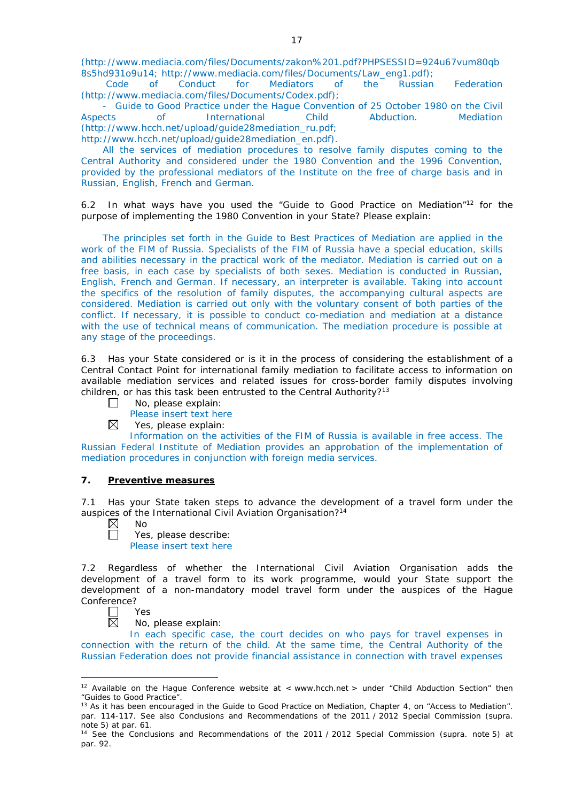(http://www.mediacia.com/files/Documents/zakon%201.pdf?PHPSESSID=924u67vum80qb 8s5hd931o9u14; http://www.mediacia.com/files/Documents/Law\_eng1.pdf);<br>Code of Conduct for Mediators of the Russian

Code of Conduct for Mediators of the Russian Federation (http://www.mediacia.com/files/Documents/Codex.pdf);

- Guide to Good Practice under the Hague Convention of 25 October 1980 on the Civil Aspects of International Child Abduction. Mediation (http://www.hcch.net/upload/guide28mediation\_ru.pdf; http://www.hcch.net/upload/guide28mediation\_en.pdf).

All the services of mediation procedures to resolve family disputes coming to the Central Authority and considered under the 1980 Convention and the 1996 Convention, provided by the professional mediators of the Institute on the free of charge basis and in Russian, English, French and German.

6.2 In what ways have you used the "Guide to Good Practice on Mediation"12 for the purpose of implementing the 1980 Convention in your State? Please explain:

The principles set forth in the Guide to Best Practices of Mediation are applied in the work of the FIM of Russia. Specialists of the FIM of Russia have a special education, skills and abilities necessary in the practical work of the mediator. Mediation is carried out on a free basis, in each case by specialists of both sexes. Mediation is conducted in Russian, English, French and German. If necessary, an interpreter is available. Taking into account the specifics of the resolution of family disputes, the accompanying cultural aspects are considered. Mediation is carried out only with the voluntary consent of both parties of the conflict. If necessary, it is possible to conduct co-mediation and mediation at a distance with the use of technical means of communication. The mediation procedure is possible at any stage of the proceedings.

6.3 Has your State considered or is it in the process of considering the establishment of a Central Contact Point for international family mediation to facilitate access to information on available mediation services and related issues for cross-border family disputes involving children, or has this task been entrusted to the Central Authority?<sup>13</sup>

- $\Box$ No, please explain:
	- Please insert text here
- $\boxtimes$ Yes, please explain:

Information on the activities of the FIM of Russia is available in free access. The Russian Federal Institute of Mediation provides an approbation of the implementation of mediation procedures in conjunction with foreign media services.

## **7. Preventive measures**

7.1 Has your State taken steps to advance the development of a travel form under the auspices of the International Civil Aviation Organisation?14

 $\boxtimes$ No П

Yes, please describe: Please insert text here

7.2 Regardless of whether the International Civil Aviation Organisation adds the development of a travel form to its work programme, would your State support the development of a non-mandatory model travel form under the auspices of the Hague Conference?

 $\mathbf{L}$ Yes 反

<u>.</u>

No, please explain:

In each specific case, the court decides on who pays for travel expenses in connection with the return of the child. At the same time, the Central Authority of the Russian Federation does not provide financial assistance in connection with travel expenses

<sup>&</sup>lt;sup>12</sup> Available on the Hague Conference website at < www.hcch.net > under "Child Abduction Section" then "Guides to Good Practice".

<sup>&</sup>lt;sup>13</sup> As it has been encouraged in the Guide to Good Practice on Mediation, Chapter 4, on "Access to Mediation". par. 114-117. See also [Conclusions and Recommendations of the 2011](https://assets.hcch.net/upload/wop/concl28sc6_e.pdf) / 2012 Special Commission (*supra.* note 5) at par. 61.

<sup>14</sup> See the [Conclusions and Recommendations of the 2011](https://assets.hcch.net/upload/wop/concl28sc6_e.pdf) / 2012 Special Commission (*supra.* note 5) at par. 92.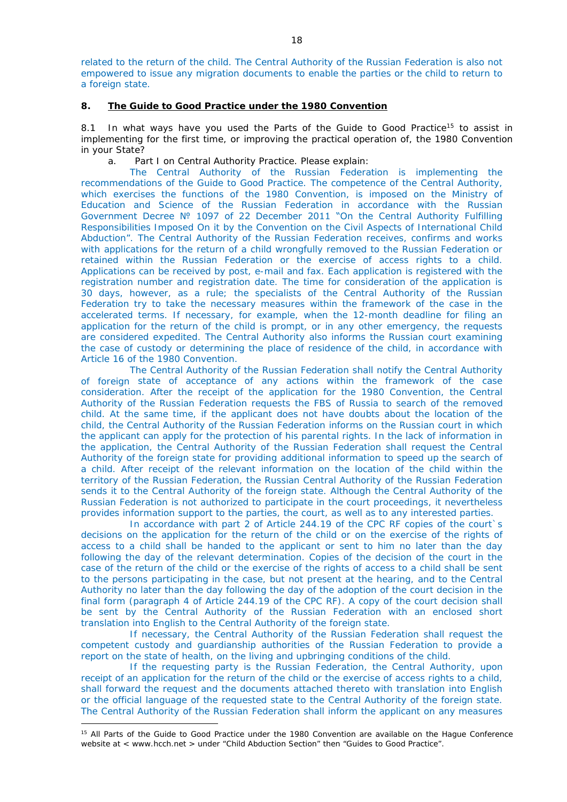related to the return of the child. The Central Authority of the Russian Federation is also not empowered to issue any migration documents to enable the parties or the child to return to a foreign state.

## **8. The Guide to Good Practice under the 1980 Convention**

8.1 In what ways have you used the Parts of the Guide to Good Practice<sup>15</sup> to assist in implementing for the first time, or improving the practical operation of, the 1980 Convention in your State?

a. Part I on Central Authority Practice. Please explain:

The Central Authority of the Russian Federation is implementing the recommendations of the Guide to Good Practice. The competence of the Central Authority, which exercises the functions of the 1980 Convention, is imposed on the Ministry of Education and Science of the Russian Federation in accordance with the Russian Government Decree № 1097 of 22 December 2011 "On the Central Authority Fulfilling Responsibilities Imposed On it by the Convention on the Civil Aspects of International Child Abduction". The Central Authority of the Russian Federation receives, confirms and works with applications for the return of a child wrongfully removed to the Russian Federation or retained within the Russian Federation or the exercise of access rights to a child. Applications can be received by post, e-mail and fax. Each application is registered with the registration number and registration date. The time for consideration of the application is 30 days, however, as a rule; the specialists of the Central Authority of the Russian Federation try to take the necessary measures within the framework of the case in the accelerated terms. If necessary, for example, when the 12-month deadline for filing an application for the return of the child is prompt, or in any other emergency, the requests are considered expedited. The Central Authority also informs the Russian court examining the case of custody or determining the place of residence of the child, in accordance with Article 16 of the 1980 Convention.

The Central Authority of the Russian Federation shall notify the Central Authority of foreign state of acceptance of any actions within the framework of the case consideration. After the receipt of the application for the 1980 Convention, the Central Authority of the Russian Federation requests the FBS of Russia to search of the removed child. At the same time, if the applicant does not have doubts about the location of the child, the Central Authority of the Russian Federation informs on the Russian court in which the applicant can apply for the protection of his parental rights. In the lack of information in the application, the Central Authority of the Russian Federation shall request the Central Authority of the foreign state for providing additional information to speed up the search of a child. After receipt of the relevant information on the location of the child within the territory of the Russian Federation, the Russian Central Authority of the Russian Federation sends it to the Central Authority of the foreign state. Although the Central Authority of the Russian Federation is not authorized to participate in the court proceedings, it nevertheless provides information support to the parties, the court, as well as to any interested parties.

In accordance with part 2 of Article 244.19 of the CPC RF copies of the court`s decisions on the application for the return of the child or on the exercise of the rights of access to a child shall be handed to the applicant or sent to him no later than the day following the day of the relevant determination. Copies of the decision of the court in the case of the return of the child or the exercise of the rights of access to a child shall be sent to the persons participating in the case, but not present at the hearing, and to the Central Authority no later than the day following the day of the adoption of the court decision in the final form (paragraph 4 of Article 244.19 of the CPC RF). A copy of the court decision shall be sent by the Central Authority of the Russian Federation with an enclosed short translation into English to the Central Authority of the foreign state.

If necessary, the Central Authority of the Russian Federation shall request the competent custody and guardianship authorities of the Russian Federation to provide a report on the state of health, on the living and upbringing conditions of the child.

If the requesting party is the Russian Federation, the Central Authority, upon receipt of an application for the return of the child or the exercise of access rights to a child, shall forward the request and the documents attached thereto with translation into English or the official language of the requested state to the Central Authority of the foreign state. The Central Authority of the Russian Federation shall inform the applicant on any measures

<sup>-</sup><sup>15</sup> All Parts of the Guide to Good Practice under the 1980 Convention are available on the Hague Conference website at < www.hcch.net > under "Child Abduction Section" then "Guides to Good Practice".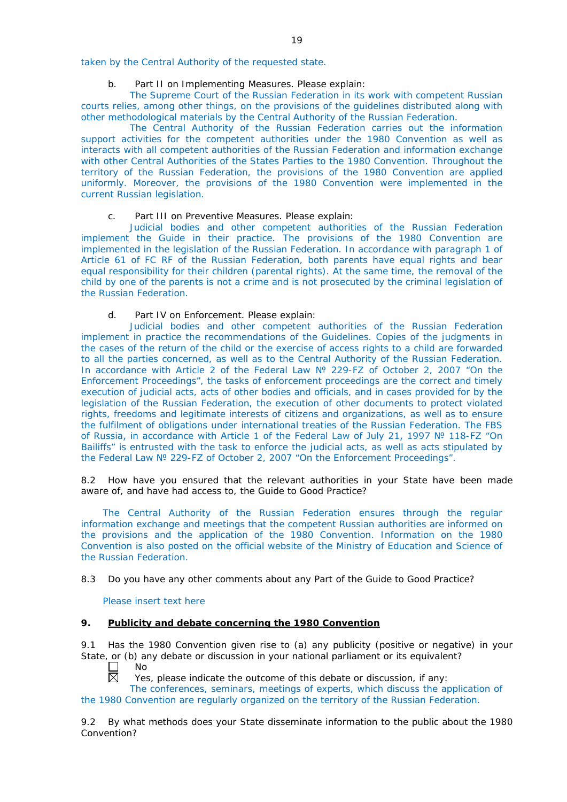taken by the Central Authority of the requested state.

# b. Part II on Implementing Measures. Please explain:

The Supreme Court of the Russian Federation in its work with competent Russian courts relies, among other things, on the provisions of the guidelines distributed along with other methodological materials by the Central Authority of the Russian Federation.

The Central Authority of the Russian Federation carries out the information support activities for the competent authorities under the 1980 Convention as well as interacts with all competent authorities of the Russian Federation and information exchange with other Central Authorities of the States Parties to the 1980 Convention. Throughout the territory of the Russian Federation, the provisions of the 1980 Convention are applied uniformly. Moreover, the provisions of the 1980 Convention were implemented in the current Russian legislation.

# c. Part III on Preventive Measures. Please explain:

Judicial bodies and other competent authorities of the Russian Federation implement the Guide in their practice. The provisions of the 1980 Convention are implemented in the legislation of the Russian Federation. In accordance with paragraph 1 of Article 61 of FC RF of the Russian Federation, both parents have equal rights and bear equal responsibility for their children (parental rights). At the same time, the removal of the child by one of the parents is not a crime and is not prosecuted by the criminal legislation of the Russian Federation.

# d. Part IV on Enforcement. Please explain:

Judicial bodies and other competent authorities of the Russian Federation implement in practice the recommendations of the Guidelines. Copies of the judgments in the cases of the return of the child or the exercise of access rights to a child are forwarded to all the parties concerned, as well as to the Central Authority of the Russian Federation. In accordance with Article 2 of the Federal Law № 229-FZ of October 2, 2007 "On the Enforcement Proceedings", the tasks of enforcement proceedings are the correct and timely execution of judicial acts, acts of other bodies and officials, and in cases provided for by the legislation of the Russian Federation, the execution of other documents to protect violated rights, freedoms and legitimate interests of citizens and organizations, as well as to ensure the fulfilment of obligations under international treaties of the Russian Federation. The FBS of Russia, in accordance with Article 1 of the Federal Law of July 21, 1997 № 118-FZ "On Bailiffs" is entrusted with the task to enforce the judicial acts, as well as acts stipulated by the Federal Law № 229-FZ of October 2, 2007 "On the Enforcement Proceedings".

8.2 How have you ensured that the relevant authorities in your State have been made aware of, and have had access to, the Guide to Good Practice?

The Central Authority of the Russian Federation ensures through the regular information exchange and meetings that the competent Russian authorities are informed on the provisions and the application of the 1980 Convention. Information on the 1980 Convention is also posted on the official website of the Ministry of Education and Science of the Russian Federation.

8.3 Do you have any other comments about any Part of the Guide to Good Practice?

Please insert text here

# **9. Publicity and debate concerning the 1980 Convention**

9.1 Has the 1980 Convention given rise to (a) any publicity (positive or negative) in your State, or (b) any debate or discussion in your national parliament or its equivalent?<br>  $\Box$  No

No 岗

Yes, please indicate the outcome of this debate or discussion, if any:

The conferences, seminars, meetings of experts, which discuss the application of the 1980 Convention are regularly organized on the territory of the Russian Federation.

9.2 By what methods does your State disseminate information to the public about the 1980 Convention?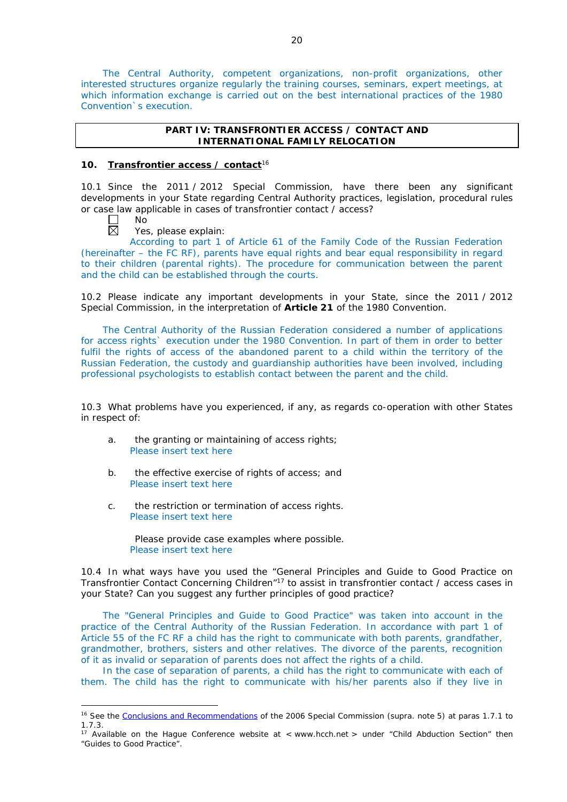The Central Authority, competent organizations, non-profit organizations, other interested structures organize regularly the training courses, seminars, expert meetings, at which information exchange is carried out on the best international practices of the 1980 Convention`s execution.

# **PART IV: TRANSFRONTIER ACCESS / CONTACT AND INTERNATIONAL FAMILY RELOCATION**

# **10. Transfrontier access / contact**<sup>16</sup>

10.1 Since the 2011 / 2012 Special Commission, have there been any significant developments in your State regarding Central Authority practices, legislation, procedural rules or case law applicable in cases of transfrontier contact / access?<br>  $\Box$  No<br>  $\boxtimes$  Yes, please explain:

No

-

Yes, please explain:

According to part 1 of Article 61 of the Family Code of the Russian Federation (hereinafter – the FC RF), parents have equal rights and bear equal responsibility in regard to their children (parental rights). The procedure for communication between the parent and the child can be established through the courts.

10.2 Please indicate any important developments in your State, since the 2011 / 2012 Special Commission, in the interpretation of **Article 21** of the 1980 Convention.

The Central Authority of the Russian Federation considered a number of applications for access rights` execution under the 1980 Convention. In part of them in order to better fulfil the rights of access of the abandoned parent to a child within the territory of the Russian Federation, the custody and guardianship authorities have been involved, including professional psychologists to establish contact between the parent and the child.

10.3 What problems have you experienced, if any, as regards co-operation with other States in respect of:

- a. the granting or maintaining of access rights; Please insert text here
- b. the effective exercise of rights of access; and Please insert text here
- c. the restriction or termination of access rights. Please insert text here

Please provide case examples where possible. Please insert text here

10.4 In what ways have you used the "General Principles and Guide to Good Practice on Transfrontier Contact Concerning Children"17 to assist in transfrontier contact / access cases in your State? Can you suggest any further principles of good practice?

The "General Principles and Guide to Good Practice" was taken into account in the practice of the Central Authority of the Russian Federation. In accordance with part 1 of Article 55 of the FC RF a child has the right to communicate with both parents, grandfather, grandmother, brothers, sisters and other relatives. The divorce of the parents, recognition of it as invalid or separation of parents does not affect the rights of a child.

In the case of separation of parents, a child has the right to communicate with each of them. The child has the right to communicate with his/her parents also if they live in

<sup>&</sup>lt;sup>16</sup> See the [Conclusions and Recommendations](https://assets.hcch.net/upload/concl28sc5_e.pdf)</u> of the 2006 Special Commission (*supra.* note 5) at paras 1.7.1 to 1.7.3.

<sup>&</sup>lt;sup>17</sup> Available on the Hague Conference website at < www.hcch.net > under "Child Abduction Section" then "Guides to Good Practice".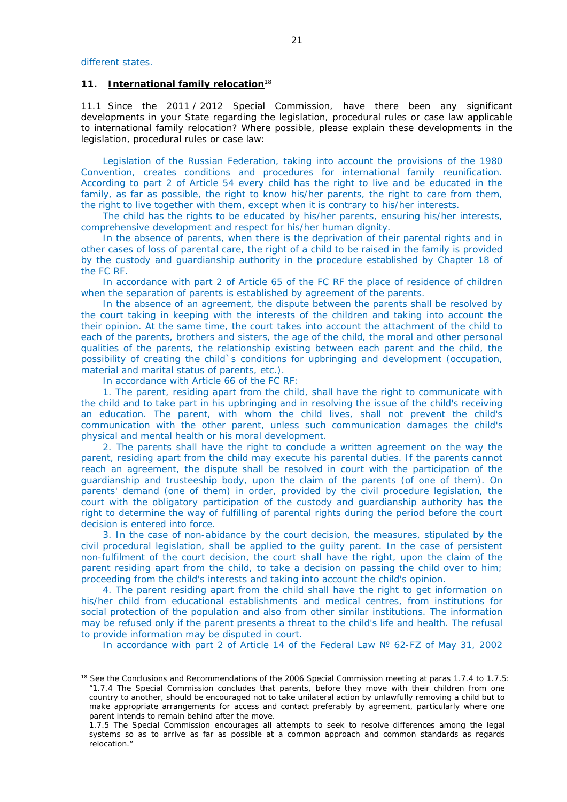<u>.</u>

## **11. International family relocation**<sup>18</sup>

11.1 Since the 2011 / 2012 Special Commission, have there been any significant developments in your State regarding the legislation, procedural rules or case law applicable to international family relocation? Where possible, please explain these developments in the legislation, procedural rules or case law:

Legislation of the Russian Federation, taking into account the provisions of the 1980 Convention, creates conditions and procedures for international family reunification. According to part 2 of Article 54 every child has the right to live and be educated in the family, as far as possible, the right to know his/her parents, the right to care from them, the right to live together with them, except when it is contrary to his/her interests.

The child has the rights to be educated by his/her parents, ensuring his/her interests, comprehensive development and respect for his/her human dignity.

In the absence of parents, when there is the deprivation of their parental rights and in other cases of loss of parental care, the right of a child to be raised in the family is provided by the custody and guardianship authority in the procedure established by Chapter 18 of the FC RF.

In accordance with part 2 of Article 65 of the FC RF the place of residence of children when the separation of parents is established by agreement of the parents.

In the absence of an agreement, the dispute between the parents shall be resolved by the court taking in keeping with the interests of the children and taking into account the their opinion. At the same time, the court takes into account the attachment of the child to each of the parents, brothers and sisters, the age of the child, the moral and other personal qualities of the parents, the relationship existing between each parent and the child, the possibility of creating the child`s conditions for upbringing and development (occupation, material and marital status of parents, etc.).

In accordance with Article 66 of the FC RF:

1. The parent, residing apart from the child, shall have the right to communicate with the child and to take part in his upbringing and in resolving the issue of the child's receiving an education. The parent, with whom the child lives, shall not prevent the child's communication with the other parent, unless such communication damages the child's physical and mental health or his moral development.

2. The parents shall have the right to conclude a written agreement on the way the parent, residing apart from the child may execute his parental duties. If the parents cannot reach an agreement, the dispute shall be resolved in court with the participation of the guardianship and trusteeship body, upon the claim of the parents (of one of them). On parents' demand (one of them) in order, provided by the civil procedure legislation, the court with the obligatory participation of the custody and guardianship authority has the right to determine the way of fulfilling of parental rights during the period before the court decision is entered into force.

3. In the case of non-abidance by the court decision, the measures, stipulated by the civil procedural legislation, shall be applied to the guilty parent. In the case of persistent non-fulfilment of the court decision, the court shall have the right, upon the claim of the parent residing apart from the child, to take a decision on passing the child over to him; proceeding from the child's interests and taking into account the child's opinion.

4. The parent residing apart from the child shall have the right to get information on his/her child from educational establishments and medical centres, from institutions for social protection of the population and also from other similar institutions. The information may be refused only if the parent presents a threat to the child's life and health. The refusal to provide information may be disputed in court.

In accordance with part 2 of Article 14 of the Federal Law № 62-FZ of May 31, 2002

<sup>&</sup>lt;sup>18</sup> See the Conclusions and Recommendations of the 2006 Special Commission meeting at paras 1.7.4 to 1.7.5: *"*1.7.4 The Special Commission concludes that parents, before they move with their children from one country to another, should be encouraged not to take unilateral action by unlawfully removing a child but to make appropriate arrangements for access and contact preferably by agreement, particularly where one parent intends to remain behind after the move.

<sup>1.7.5</sup> The Special Commission encourages all attempts to seek to resolve differences among the legal systems so as to arrive as far as possible at a common approach and common standards as regards relocation."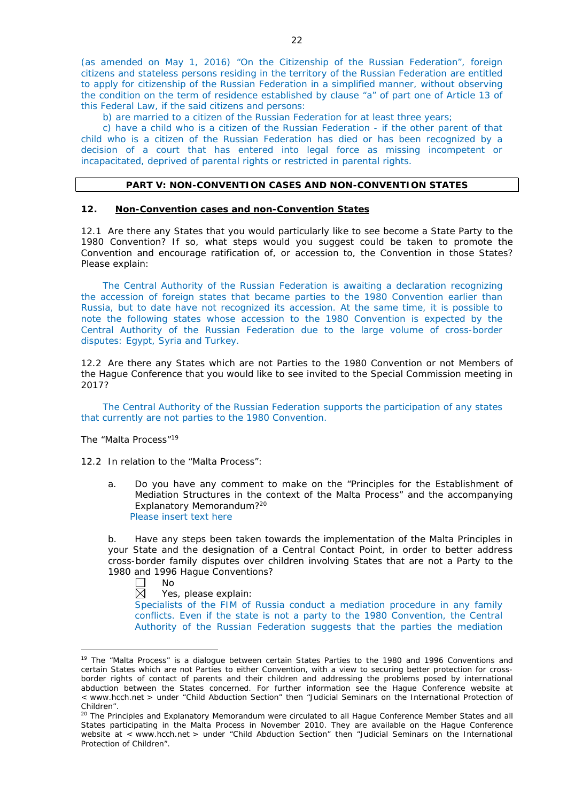(as amended on May 1, 2016) "On the Citizenship of the Russian Federation", foreign citizens and stateless persons residing in the territory of the Russian Federation are entitled to apply for citizenship of the Russian Federation in a simplified manner, without observing the condition on the term of residence established by clause "a" of part one of Article 13 of this Federal Law, if the said citizens and persons:

b) are married to a citizen of the Russian Federation for at least three years;

c) have a child who is a citizen of the Russian Federation - if the other parent of that child who is a citizen of the Russian Federation has died or has been recognized by a decision of a court that has entered into legal force as missing incompetent or incapacitated, deprived of parental rights or restricted in parental rights.

## **PART V: NON-CONVENTION CASES AND NON-CONVENTION STATES**

#### **12. Non-Convention cases and non-Convention States**

12.1 Are there any States that you would particularly like to see become a State Party to the 1980 Convention? If so, what steps would you suggest could be taken to promote the Convention and encourage ratification of, or accession to, the Convention in those States? Please explain:

The Central Authority of the Russian Federation is awaiting a declaration recognizing the accession of foreign states that became parties to the 1980 Convention earlier than Russia, but to date have not recognized its accession. At the same time, it is possible to note the following states whose accession to the 1980 Convention is expected by the Central Authority of the Russian Federation due to the large volume of cross-border disputes: Egypt, Syria and Turkey.

12.2 Are there any States which are not Parties to the 1980 Convention or not Members of the Hague Conference that you would like to see invited to the Special Commission meeting in 2017?

The Central Authority of the Russian Federation supports the participation of any states that currently are not parties to the 1980 Convention.

*The "Malta Process"*<sup>19</sup>

12.2 In relation to the "Malta Process":

a. Do you have any comment to make on the "Principles for the Establishment of Mediation Structures in the context of the Malta Process" and the accompanying Explanatory Memorandum?20 Please insert text here

b. Have any steps been taken towards the implementation of the Malta Principles in your State and the designation of a Central Contact Point, in order to better address cross-border family disputes over children involving States that are not a Party to the 1980 and 1996 Hague Conventions?

П No

<u>.</u>

岗 Yes, please explain:

Specialists of the FIM of Russia conduct a mediation procedure in any family conflicts. Even if the state is not a party to the 1980 Convention, the Central Authority of the Russian Federation suggests that the parties the mediation

<sup>&</sup>lt;sup>19</sup> The "Malta Process" is a dialogue between certain States Parties to the 1980 and 1996 Conventions and certain States which are not Parties to either Convention, with a view to securing better protection for crossborder rights of contact of parents and their children and addressing the problems posed by international abduction between the States concerned. For further information see the Hague Conference website at < www.hcch.net > under "Child Abduction Section" then "Judicial Seminars on the International Protection of Children".

<sup>20</sup> The Principles and Explanatory Memorandum were circulated to all Hague Conference Member States and all States participating in the Malta Process in November 2010. They are available on the Hague Conference website at < www.hcch.net > under "Child Abduction Section" then "Judicial Seminars on the International Protection of Children".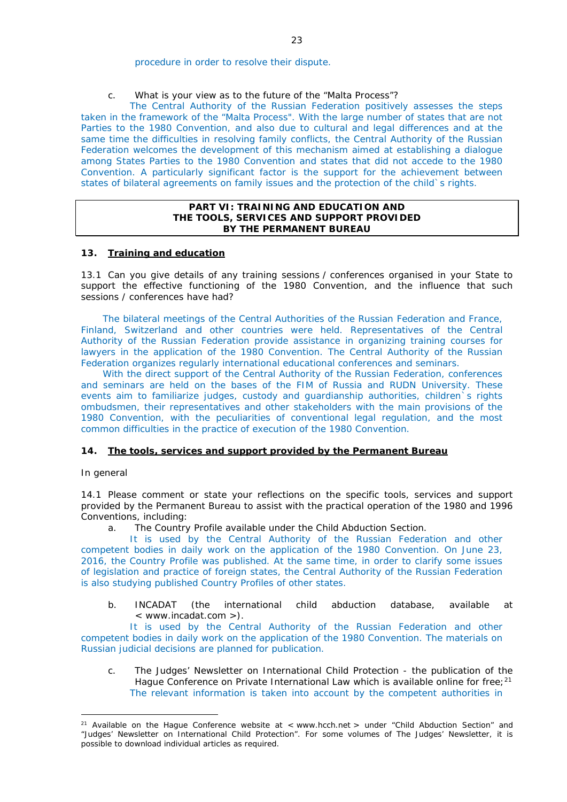procedure in order to resolve their dispute.

c. What is your view as to the future of the "Malta Process"?

The Central Authority of the Russian Federation positively assesses the steps taken in the framework of the "Malta Process". With the large number of states that are not Parties to the 1980 Convention, and also due to cultural and legal differences and at the same time the difficulties in resolving family conflicts, the Central Authority of the Russian Federation welcomes the development of this mechanism aimed at establishing a dialogue among States Parties to the 1980 Convention and states that did not accede to the 1980 Convention. A particularly significant factor is the support for the achievement between states of bilateral agreements on family issues and the protection of the child`s rights.

## **PART VI: TRAINING AND EDUCATION AND THE TOOLS, SERVICES AND SUPPORT PROVIDED BY THE PERMANENT BUREAU**

## **13. Training and education**

13.1 Can you give details of any training sessions / conferences organised in your State to support the effective functioning of the 1980 Convention, and the influence that such sessions / conferences have had?

The bilateral meetings of the Central Authorities of the Russian Federation and France, Finland, Switzerland and other countries were held. Representatives of the Central Authority of the Russian Federation provide assistance in organizing training courses for lawyers in the application of the 1980 Convention. The Central Authority of the Russian Federation organizes regularly international educational conferences and seminars.

With the direct support of the Central Authority of the Russian Federation, conferences and seminars are held on the bases of the FIM of Russia and RUDN University. These events aim to familiarize judges, custody and guardianship authorities, children`s rights ombudsmen, their representatives and other stakeholders with the main provisions of the 1980 Convention, with the peculiarities of conventional legal regulation, and the most common difficulties in the practice of execution of the 1980 Convention.

#### **14. The tools, services and support provided by the Permanent Bureau**

#### *In general*

-

14.1 Please comment or state your reflections on the specific tools, services and support provided by the Permanent Bureau to assist with the practical operation of the 1980 and 1996 Conventions, including:

a. The Country Profile available under the Child Abduction Section.

It is used by the Central Authority of the Russian Federation and other competent bodies in daily work on the application of the 1980 Convention. On June 23, 2016, the Country Profile was published. At the same time, in order to clarify some issues of legislation and practice of foreign states, the Central Authority of the Russian Federation is also studying published Country Profiles of other states.

b. INCADAT (the international child abduction database, available at < www.incadat.com >).

It is used by the Central Authority of the Russian Federation and other competent bodies in daily work on the application of the 1980 Convention. The materials on Russian judicial decisions are planned for publication.

c. *The Judges' Newsletter* on International Child Protection - the publication of the Hague Conference on Private International Law which is available online for free;<sup>21</sup> The relevant information is taken into account by the competent authorities in

<sup>&</sup>lt;sup>21</sup> Available on the Hague Conference website at < www.hcch.net > under "Child Abduction Section" and "Judges' Newsletter on International Child Protection". For some volumes of *The Judges' Newsletter*, it is possible to download individual articles as required.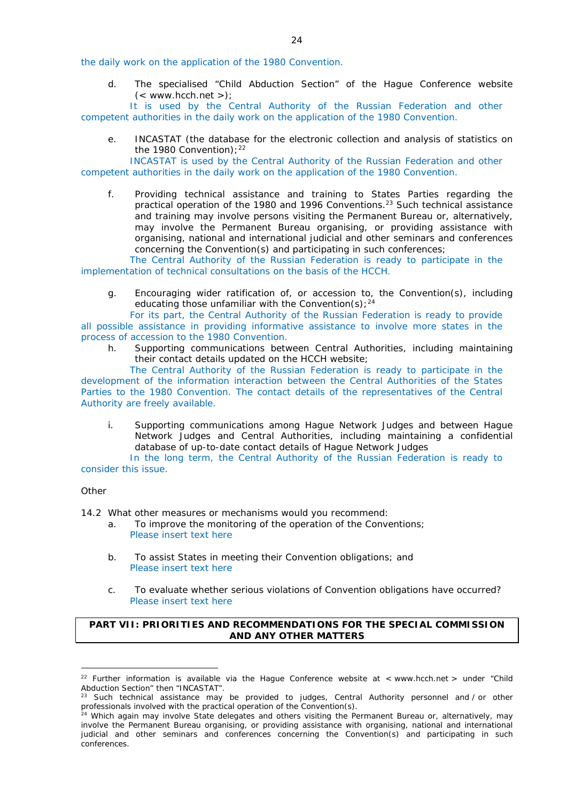the daily work on the application of the 1980 Convention.

d. The specialised "Child Abduction Section" of the Hague Conference website  $(<$  www.hcch.net >);

It is used by the Central Authority of the Russian Federation and other competent authorities in the daily work on the application of the 1980 Convention.

e. INCASTAT (the database for the electronic collection and analysis of statistics on the 1980 Convention):  $22$ 

INCASTAT is used by the Central Authority of the Russian Federation and other competent authorities in the daily work on the application of the 1980 Convention.

f. Providing technical assistance and training to States Parties regarding the practical operation of the 1980 and 1996 Conventions.<sup>23</sup> Such technical assistance and training may involve persons visiting the Permanent Bureau or, alternatively, may involve the Permanent Bureau organising, or providing assistance with organising, national and international judicial and other seminars and conferences concerning the Convention(s) and participating in such conferences;

The Central Authority of the Russian Federation is ready to participate in the implementation of technical consultations on the basis of the HCCH.

g. Encouraging wider ratification of, or accession to, the Convention(s), including educating those unfamiliar with the Convention(s);  $24$ 

For its part, the Central Authority of the Russian Federation is ready to provide all possible assistance in providing informative assistance to involve more states in the process of accession to the 1980 Convention.

h. Supporting communications between Central Authorities, including maintaining their contact details updated on the HCCH website;

The Central Authority of the Russian Federation is ready to participate in the development of the information interaction between the Central Authorities of the States Parties to the 1980 Convention. The contact details of the representatives of the Central Authority are freely available.

i. Supporting communications among Hague Network Judges and between Hague Network Judges and Central Authorities, including maintaining a confidential database of up-to-date contact details of Hague Network Judges

In the long term, the Central Authority of the Russian Federation is ready to consider this issue.

#### *Other*

14.2 What other measures or mechanisms would you recommend:

- a. To improve the monitoring of the operation of the Conventions; Please insert text here
- b. To assist States in meeting their Convention obligations; and Please insert text here
- c. To evaluate whether serious violations of Convention obligations have occurred? Please insert text here

# **PART VII: PRIORITIES AND RECOMMENDATIONS FOR THE SPECIAL COMMISSION AND ANY OTHER MATTERS**

<sup>&</sup>lt;u>.</u> <sup>22</sup> Further information is available via the Hague Conference website at < www.hcch.net > under "Child Abduction Section" then "INCASTAT".

Such technical assistance may be provided to judges, Central Authority personnel and / or other professionals involved with the practical operation of the Convention(s).

<sup>&</sup>lt;sup>24</sup> Which again may involve State delegates and others visiting the Permanent Bureau or, alternatively, may involve the Permanent Bureau organising, or providing assistance with organising, national and international judicial and other seminars and conferences concerning the Convention(s) and participating in such conferences.